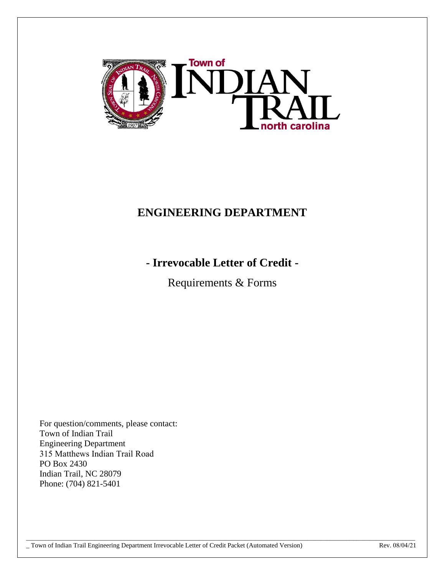

# **ENGINEERING DEPARTMENT**

# **- Irrevocable Letter of Credit -**

Requirements & Forms

 $\Box$  . The contribution of the contribution of the contribution of the contribution of the contribution of the contribution of the contribution of the contribution of the contribution of the contribution of the contributi

For question/comments, please contact: Town of Indian Trail Engineering Department 315 Matthews Indian Trail Road PO Box 2430 Indian Trail, NC 28079 Phone: (704) 821-5401

\_ Town of Indian Trail Engineering Department Irrevocable Letter of Credit Packet (Automated Version) Rev. 08/04/21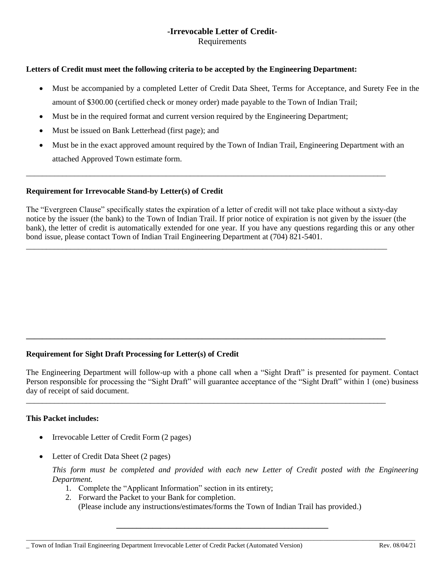### **-Irrevocable Letter of Credit-Requirements**

#### **Letters of Credit must meet the following criteria to be accepted by the Engineering Department:**

- Must be accompanied by a completed Letter of Credit Data Sheet, Terms for Acceptance, and Surety Fee in the amount of \$300.00 (certified check or money order) made payable to the Town of Indian Trail;
- Must be in the required format and current version required by the Engineering Department;
- Must be issued on Bank Letterhead (first page); and
- Must be in the exact approved amount required by the Town of Indian Trail, Engineering Department with an attached Approved Town estimate form.

\_\_\_\_\_\_\_\_\_\_\_\_\_\_\_\_\_\_\_\_\_\_\_\_\_\_\_\_\_\_\_\_\_\_\_\_\_\_\_\_\_\_\_\_\_\_\_\_\_\_\_\_\_\_\_\_\_\_\_\_\_\_\_\_\_\_\_\_\_\_\_\_\_\_\_\_\_\_\_\_\_\_\_\_\_\_\_\_\_\_

\_\_\_\_\_\_\_\_\_\_\_\_\_\_\_\_\_\_\_\_\_\_\_\_\_\_\_\_\_\_\_\_\_\_\_\_\_\_\_\_\_\_\_\_\_\_\_\_\_\_\_\_\_\_\_\_\_\_\_\_\_\_\_\_\_\_\_\_\_\_\_\_\_\_\_\_\_\_\_\_\_\_\_\_\_\_\_\_\_\_

**\_\_\_\_\_\_\_\_\_\_\_\_\_\_\_\_\_\_\_\_\_\_\_\_\_\_\_\_\_\_\_\_\_\_\_\_\_\_\_\_\_\_\_\_\_\_\_\_\_\_\_\_\_\_\_\_\_\_\_\_\_\_\_\_\_\_\_\_\_\_\_\_\_\_\_\_\_\_\_\_\_\_\_\_\_\_\_\_\_\_**

\_\_\_\_\_\_\_\_\_\_\_\_\_\_\_\_\_\_\_\_\_\_\_\_\_\_\_\_\_\_\_\_\_\_\_\_\_\_\_\_\_\_\_\_\_\_\_\_\_\_\_\_\_\_\_\_\_\_\_\_\_\_\_\_\_\_\_\_\_\_\_\_\_\_\_\_\_\_\_\_\_\_\_\_\_\_\_\_\_\_

#### **Requirement for Irrevocable Stand-by Letter(s) of Credit**

The "Evergreen Clause" specifically states the expiration of a letter of credit will not take place without a sixty-day notice by the issuer (the bank) to the Town of Indian Trail. If prior notice of expiration is not given by the issuer (the bank), the letter of credit is automatically extended for one year. If you have any questions regarding this or any other bond issue, please contact Town of Indian Trail Engineering Department at (704) 821-5401.

### **Requirement for Sight Draft Processing for Letter(s) of Credit**

The Engineering Department will follow-up with a phone call when a "Sight Draft" is presented for payment. Contact Person responsible for processing the "Sight Draft" will guarantee acceptance of the "Sight Draft" within 1 (one) business day of receipt of said document.

#### **This Packet includes:**

- Irrevocable Letter of Credit Form (2 pages)
- Letter of Credit Data Sheet (2 pages)

*This form must be completed and provided with each new Letter of Credit posted with the Engineering Department.*

- 1. Complete the "Applicant Information" section in its entirety;
- 2. Forward the Packet to your Bank for completion.

(Please include any instructions/estimates/forms the Town of Indian Trail has provided.)

**\_\_\_\_\_\_\_\_\_\_\_\_\_\_\_\_\_\_\_\_\_\_\_\_\_\_\_\_\_\_\_\_\_\_\_\_\_\_\_\_\_\_\_\_\_\_\_\_\_\_\_\_\_**   $\Box$  . The contribution of the contribution of the contribution of the contribution of the contribution of the contribution of the contribution of the contribution of the contribution of the contribution of the contributi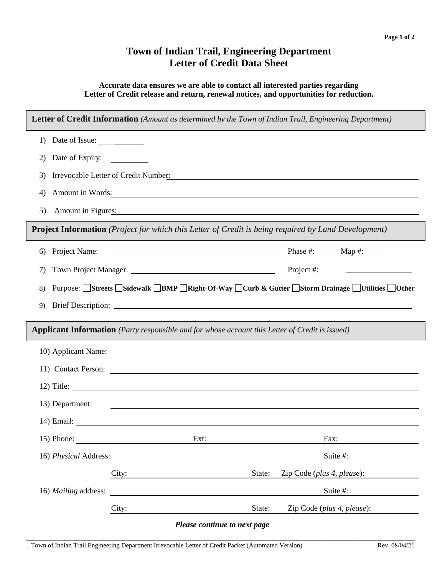## **Town of Indian Trail, Engineering Department Letter of Credit Data Sheet**

#### **Accurate data ensures we are able to contact all interested parties regarding Letter of Credit release and return, renewal notices, and opportunities for reduction.**

|                       | <b>Letter of Credit Information</b> (Amount as determined by the Town of Indian Trail, Engineering Department)       |            |                                                                                          |  |  |  |  |
|-----------------------|----------------------------------------------------------------------------------------------------------------------|------------|------------------------------------------------------------------------------------------|--|--|--|--|
| Date of Issue:<br>1)  |                                                                                                                      |            |                                                                                          |  |  |  |  |
| 2)                    | Date of Expiry:                                                                                                      |            |                                                                                          |  |  |  |  |
| 3)                    | Irrevocable Letter of Credit Number:<br><u> 1989 - Andrea Andrew Maria (h. 1989).</u>                                |            |                                                                                          |  |  |  |  |
| 4)                    |                                                                                                                      |            | Amount in Words:                                                                         |  |  |  |  |
| 5)                    | Amount in Figures: 2008. Amount in Figures:                                                                          |            |                                                                                          |  |  |  |  |
|                       | <b>Project Information</b> (Project for which this Letter of Credit is being required by Land Development)           |            |                                                                                          |  |  |  |  |
| 6)                    |                                                                                                                      |            |                                                                                          |  |  |  |  |
| 7)                    |                                                                                                                      | Project #: |                                                                                          |  |  |  |  |
| 8)                    |                                                                                                                      |            | Purpose: Streets Sidewalk BMP Right-Of-Way DCurb & Gutter Storm Drainage Utilities Other |  |  |  |  |
| 9)                    |                                                                                                                      |            |                                                                                          |  |  |  |  |
|                       | <b>Applicant Information</b> (Party responsible and for whose account this Letter of Credit is issued)               |            |                                                                                          |  |  |  |  |
|                       |                                                                                                                      |            |                                                                                          |  |  |  |  |
|                       |                                                                                                                      |            |                                                                                          |  |  |  |  |
|                       | 12) Title:                                                                                                           |            |                                                                                          |  |  |  |  |
| 13) Department:       | <u> 1989 - Johann Harry Barn, mars and deutscher Programment († 1908)</u>                                            |            |                                                                                          |  |  |  |  |
|                       |                                                                                                                      |            |                                                                                          |  |  |  |  |
| 15) Phone:            | Ext:                                                                                                                 |            | Fax:                                                                                     |  |  |  |  |
| 16) Physical Address: |                                                                                                                      |            | Suite #:                                                                                 |  |  |  |  |
|                       | City:                                                                                                                | State:     | Zip Code (plus 4, please):                                                               |  |  |  |  |
| 16) Mailing address:  | <u> 1989 - Johann Stein, marwolaethau a bhann an t-Amhair an t-Amhair an t-Amhair an t-Amhair an t-Amhair an t-A</u> |            | Suite #:                                                                                 |  |  |  |  |
|                       | City:                                                                                                                | State:     | Zip Code (plus 4, please):                                                               |  |  |  |  |
|                       | Please continue to next page                                                                                         |            |                                                                                          |  |  |  |  |

 $\Box$  . The contribution of the contribution of the contribution of the contribution of the contribution of the contribution of the contribution of the contribution of the contribution of the contribution of the contributi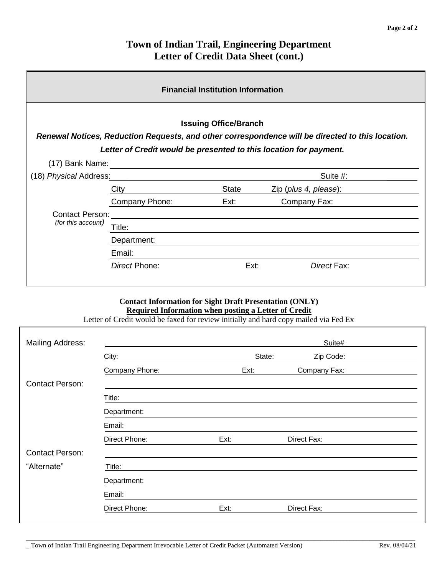# **Town of Indian Trail, Engineering Department Letter of Credit Data Sheet (cont.)**

| <b>Financial Institution Information</b>                                                                                                                                                              |                |              |                       |             |  |  |
|-------------------------------------------------------------------------------------------------------------------------------------------------------------------------------------------------------|----------------|--------------|-----------------------|-------------|--|--|
| <b>Issuing Office/Branch</b><br>Renewal Notices, Reduction Requests, and other correspondence will be directed to this location.<br>Letter of Credit would be presented to this location for payment. |                |              |                       |             |  |  |
| (17) Bank Name:                                                                                                                                                                                       |                |              |                       |             |  |  |
| (18) Physical Address:                                                                                                                                                                                |                |              |                       | Suite #:    |  |  |
|                                                                                                                                                                                                       | City           | <b>State</b> | Zip (plus 4, please): |             |  |  |
|                                                                                                                                                                                                       | Company Phone: | Ext:         | Company Fax:          |             |  |  |
| <b>Contact Person:</b>                                                                                                                                                                                |                |              |                       |             |  |  |
| (for this account)                                                                                                                                                                                    | Title:         |              |                       |             |  |  |
|                                                                                                                                                                                                       | Department:    |              |                       |             |  |  |
|                                                                                                                                                                                                       | Email:         |              |                       |             |  |  |
|                                                                                                                                                                                                       | Direct Phone:  |              | Ext:                  | Direct Fax: |  |  |

## **Contact Information for Sight Draft Presentation (ONLY) Required Information when posting a Letter of Credit**

Letter of Credit would be faxed for review initially and hard copy mailed via Fed Ex

| Suite#         |      |              |        |
|----------------|------|--------------|--------|
| City:          |      | Zip Code:    |        |
| Company Phone: | Ext: | Company Fax: |        |
|                |      |              |        |
| Title:         |      |              |        |
| Department:    |      |              |        |
| Email:         |      |              |        |
| Direct Phone:  | Ext: | Direct Fax:  |        |
|                |      |              |        |
| Title:         |      |              |        |
| Department:    |      |              |        |
| Email:         |      |              |        |
| Direct Phone:  | Ext: | Direct Fax:  |        |
|                |      |              | State: |

 $\Box$  . The contribution of the contribution of the contribution of the contribution of the contribution of the contribution of the contribution of the contribution of the contribution of the contribution of the contributi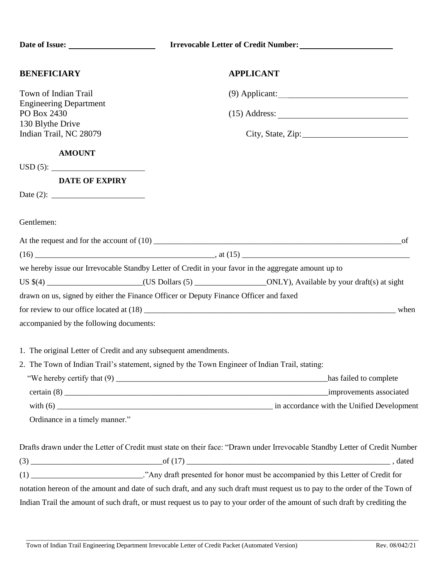| <b>APPLICANT</b><br>$(9)$ Applicant:<br>PO Box 2430<br>$(15)$ Address: $\frac{1}{2}$ Address: $\frac{1}{2}$ Address: $\frac{1}{2}$ Address: $\frac{1}{2}$ Address: $\frac{1}{2}$ Address: $\frac{1}{2}$ Address: $\frac{1}{2}$ Address: $\frac{1}{2}$ Address: $\frac{1}{2}$ Address: $\frac{1}{2}$ Address: $\frac{1}{2}$ Addre<br>130 Blythe Drive<br>City, State, Zip:<br><b>AMOUNT</b><br><b>DATE OF EXPIRY</b><br>we hereby issue our Irrevocable Standby Letter of Credit in your favor in the aggregate amount up to<br>US \$(4) _______________________(US Dollars (5) _______________________ONLY), Available by your draft(s) at sight<br>drawn on us, signed by either the Finance Officer or Deputy Finance Officer and faxed<br>1. The original Letter of Credit and any subsequent amendments.<br>2. The Town of Indian Trail's statement, signed by the Town Engineer of Indian Trail, stating:<br>Ordinance in a timely manner."<br>Drafts drawn under the Letter of Credit must state on their face: "Drawn under Irrevocable Standby Letter of Credit Number<br>(1) ____________________________."Any draft presented for honor must be accompanied by this Letter of Credit for<br>notation hereon of the amount and date of such draft, and any such draft must request us to pay to the order of the Town of |                                         | Irrevocable Letter of Credit Number: |
|-----------------------------------------------------------------------------------------------------------------------------------------------------------------------------------------------------------------------------------------------------------------------------------------------------------------------------------------------------------------------------------------------------------------------------------------------------------------------------------------------------------------------------------------------------------------------------------------------------------------------------------------------------------------------------------------------------------------------------------------------------------------------------------------------------------------------------------------------------------------------------------------------------------------------------------------------------------------------------------------------------------------------------------------------------------------------------------------------------------------------------------------------------------------------------------------------------------------------------------------------------------------------------------------------------------------------------------|-----------------------------------------|--------------------------------------|
|                                                                                                                                                                                                                                                                                                                                                                                                                                                                                                                                                                                                                                                                                                                                                                                                                                                                                                                                                                                                                                                                                                                                                                                                                                                                                                                                   | <b>BENEFICIARY</b>                      |                                      |
|                                                                                                                                                                                                                                                                                                                                                                                                                                                                                                                                                                                                                                                                                                                                                                                                                                                                                                                                                                                                                                                                                                                                                                                                                                                                                                                                   | Town of Indian Trail                    |                                      |
|                                                                                                                                                                                                                                                                                                                                                                                                                                                                                                                                                                                                                                                                                                                                                                                                                                                                                                                                                                                                                                                                                                                                                                                                                                                                                                                                   | <b>Engineering Department</b>           |                                      |
|                                                                                                                                                                                                                                                                                                                                                                                                                                                                                                                                                                                                                                                                                                                                                                                                                                                                                                                                                                                                                                                                                                                                                                                                                                                                                                                                   |                                         |                                      |
|                                                                                                                                                                                                                                                                                                                                                                                                                                                                                                                                                                                                                                                                                                                                                                                                                                                                                                                                                                                                                                                                                                                                                                                                                                                                                                                                   | Indian Trail, NC 28079                  |                                      |
|                                                                                                                                                                                                                                                                                                                                                                                                                                                                                                                                                                                                                                                                                                                                                                                                                                                                                                                                                                                                                                                                                                                                                                                                                                                                                                                                   |                                         |                                      |
|                                                                                                                                                                                                                                                                                                                                                                                                                                                                                                                                                                                                                                                                                                                                                                                                                                                                                                                                                                                                                                                                                                                                                                                                                                                                                                                                   | $\text{USD}(5):$                        |                                      |
|                                                                                                                                                                                                                                                                                                                                                                                                                                                                                                                                                                                                                                                                                                                                                                                                                                                                                                                                                                                                                                                                                                                                                                                                                                                                                                                                   |                                         |                                      |
|                                                                                                                                                                                                                                                                                                                                                                                                                                                                                                                                                                                                                                                                                                                                                                                                                                                                                                                                                                                                                                                                                                                                                                                                                                                                                                                                   | Date (2): $\qquad \qquad$               |                                      |
|                                                                                                                                                                                                                                                                                                                                                                                                                                                                                                                                                                                                                                                                                                                                                                                                                                                                                                                                                                                                                                                                                                                                                                                                                                                                                                                                   | Gentlemen:                              |                                      |
|                                                                                                                                                                                                                                                                                                                                                                                                                                                                                                                                                                                                                                                                                                                                                                                                                                                                                                                                                                                                                                                                                                                                                                                                                                                                                                                                   |                                         |                                      |
|                                                                                                                                                                                                                                                                                                                                                                                                                                                                                                                                                                                                                                                                                                                                                                                                                                                                                                                                                                                                                                                                                                                                                                                                                                                                                                                                   |                                         |                                      |
|                                                                                                                                                                                                                                                                                                                                                                                                                                                                                                                                                                                                                                                                                                                                                                                                                                                                                                                                                                                                                                                                                                                                                                                                                                                                                                                                   |                                         |                                      |
|                                                                                                                                                                                                                                                                                                                                                                                                                                                                                                                                                                                                                                                                                                                                                                                                                                                                                                                                                                                                                                                                                                                                                                                                                                                                                                                                   |                                         |                                      |
|                                                                                                                                                                                                                                                                                                                                                                                                                                                                                                                                                                                                                                                                                                                                                                                                                                                                                                                                                                                                                                                                                                                                                                                                                                                                                                                                   |                                         |                                      |
|                                                                                                                                                                                                                                                                                                                                                                                                                                                                                                                                                                                                                                                                                                                                                                                                                                                                                                                                                                                                                                                                                                                                                                                                                                                                                                                                   |                                         |                                      |
|                                                                                                                                                                                                                                                                                                                                                                                                                                                                                                                                                                                                                                                                                                                                                                                                                                                                                                                                                                                                                                                                                                                                                                                                                                                                                                                                   | accompanied by the following documents: |                                      |
|                                                                                                                                                                                                                                                                                                                                                                                                                                                                                                                                                                                                                                                                                                                                                                                                                                                                                                                                                                                                                                                                                                                                                                                                                                                                                                                                   |                                         |                                      |
|                                                                                                                                                                                                                                                                                                                                                                                                                                                                                                                                                                                                                                                                                                                                                                                                                                                                                                                                                                                                                                                                                                                                                                                                                                                                                                                                   |                                         |                                      |
|                                                                                                                                                                                                                                                                                                                                                                                                                                                                                                                                                                                                                                                                                                                                                                                                                                                                                                                                                                                                                                                                                                                                                                                                                                                                                                                                   |                                         |                                      |
|                                                                                                                                                                                                                                                                                                                                                                                                                                                                                                                                                                                                                                                                                                                                                                                                                                                                                                                                                                                                                                                                                                                                                                                                                                                                                                                                   |                                         |                                      |
|                                                                                                                                                                                                                                                                                                                                                                                                                                                                                                                                                                                                                                                                                                                                                                                                                                                                                                                                                                                                                                                                                                                                                                                                                                                                                                                                   |                                         |                                      |
|                                                                                                                                                                                                                                                                                                                                                                                                                                                                                                                                                                                                                                                                                                                                                                                                                                                                                                                                                                                                                                                                                                                                                                                                                                                                                                                                   |                                         |                                      |
|                                                                                                                                                                                                                                                                                                                                                                                                                                                                                                                                                                                                                                                                                                                                                                                                                                                                                                                                                                                                                                                                                                                                                                                                                                                                                                                                   |                                         |                                      |
|                                                                                                                                                                                                                                                                                                                                                                                                                                                                                                                                                                                                                                                                                                                                                                                                                                                                                                                                                                                                                                                                                                                                                                                                                                                                                                                                   |                                         |                                      |
|                                                                                                                                                                                                                                                                                                                                                                                                                                                                                                                                                                                                                                                                                                                                                                                                                                                                                                                                                                                                                                                                                                                                                                                                                                                                                                                                   |                                         |                                      |
|                                                                                                                                                                                                                                                                                                                                                                                                                                                                                                                                                                                                                                                                                                                                                                                                                                                                                                                                                                                                                                                                                                                                                                                                                                                                                                                                   |                                         |                                      |
| Indian Trail the amount of such draft, or must request us to pay to your order of the amount of such draft by crediting the                                                                                                                                                                                                                                                                                                                                                                                                                                                                                                                                                                                                                                                                                                                                                                                                                                                                                                                                                                                                                                                                                                                                                                                                       |                                         |                                      |

\_\_\_\_\_\_\_\_\_\_\_\_\_\_\_\_\_\_\_\_\_\_\_\_\_\_\_\_\_\_\_\_\_\_\_\_\_\_\_\_\_\_\_\_\_\_\_\_\_\_\_\_\_\_\_\_\_\_\_\_\_\_\_\_\_\_\_\_\_\_\_\_\_\_\_\_\_\_\_\_\_\_\_\_\_\_\_\_\_\_\_\_\_\_\_\_\_\_\_\_\_\_\_\_\_\_\_\_\_\_\_\_\_\_\_\_\_\_\_\_